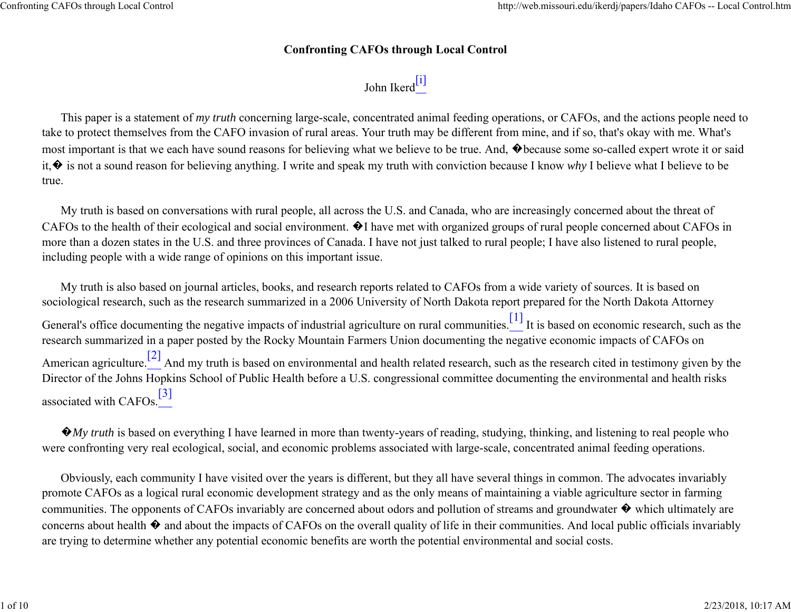## **Confronting CAFOs through Local Control**

## John Ikerd $\frac{[i]}{[}$

This paper is a statement of *my truth* concerning large-scale, concentrated animal feeding operations, or CAFOs, and the actions people need to take to protect themselves from the CAFO invasion of rural areas. Your truth may be different from mine, and if so, that's okay with me. What's most important is that we each have sound reasons for believing what we believe to be true. And, �because some so-called expert wrote it or said it,� is not a sound reason for believing anything. I write and speak my truth with conviction because I know *why* I believe what I believe to be true.

My truth is based on conversations with rural people, all across the U.S. and Canada, who are increasingly concerned about the threat of CAFOs to the health of their ecological and social environment. �I have met with organized groups of rural people concerned about CAFOs in more than a dozen states in the U.S. and three provinces of Canada. I have not just talked to rural people; I have also listened to rural people, including people with a wide range of opinions on this important issue.

My truth is also based on journal articles, books, and research reports related to CAFOs from a wide variety of sources. It is based on sociological research, such as the research summarized in a 2006 University of North Dakota report prepared for the North Dakota Attorney General's office documenting the negative impacts of industrial agriculture on rural communities. $[1]$  It is based on economic research, such as the research summarized in a paper posted by the Rocky Mountain Farmers Union documenting the negative economic impacts of CAFOs on American agriculture.<sup>[2]</sup> And my truth is based on environmental and health related research, such as the research cited in testimony given by the Director of the Johns Hopkins School of Public Health before a U.S. congressional committee documenting the environmental and health risks associated with CAFOs.<sup>[3]</sup>

 $\mathbf{\hat{\bullet}}$ *My truth* is based on everything I have learned in more than twenty-years of reading, studying, thinking, and listening to real people who were confronting very real ecological, social, and economic problems associated with large-scale, concentrated animal feeding operations.

Obviously, each community I have visited over the years is different, but they all have several things in common. The advocates invariably promote CAFOs as a logical rural economic development strategy and as the only means of maintaining a viable agriculture sector in farming communities. The opponents of CAFOs invariably are concerned about odors and pollution of streams and groundwater � which ultimately are concerns about health  $\lozenge$  and about the impacts of CAFOs on the overall quality of life in their communities. And local public officials invariably are trying to determine whether any potential economic benefits are worth the potential environmental and social costs.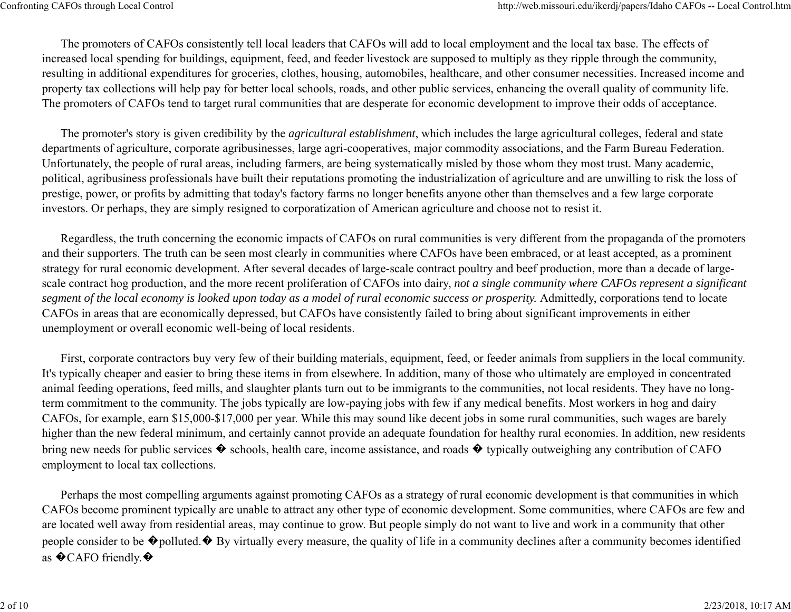The promoters of CAFOs consistently tell local leaders that CAFOs will add to local employment and the local tax base. The effects of increased local spending for buildings, equipment, feed, and feeder livestock are supposed to multiply as they ripple through the community, resulting in additional expenditures for groceries, clothes, housing, automobiles, healthcare, and other consumer necessities. Increased income and property tax collections will help pay for better local schools, roads, and other public services, enhancing the overall quality of community life. The promoters of CAFOs tend to target rural communities that are desperate for economic development to improve their odds of acceptance.

The promoter's story is given credibility by the *agricultural establishment*, which includes the large agricultural colleges, federal and state departments of agriculture, corporate agribusinesses, large agri-cooperatives, major commodity associations, and the Farm Bureau Federation. Unfortunately, the people of rural areas, including farmers, are being systematically misled by those whom they most trust. Many academic, political, agribusiness professionals have built their reputations promoting the industrialization of agriculture and are unwilling to risk the loss of prestige, power, or profits by admitting that today's factory farms no longer benefits anyone other than themselves and a few large corporate investors. Or perhaps, they are simply resigned to corporatization of American agriculture and choose not to resist it.

Regardless, the truth concerning the economic impacts of CAFOs on rural communities is very different from the propaganda of the promoters and their supporters. The truth can be seen most clearly in communities where CAFOs have been embraced, or at least accepted, as a prominent strategy for rural economic development. After several decades of large-scale contract poultry and beef production, more than a decade of largescale contract hog production, and the more recent proliferation of CAFOs into dairy, *not a single community where CAFOs represent a significant segment of the local economy is looked upon today as a model of rural economic success or prosperity.* Admittedly, corporations tend to locate CAFOs in areas that are economically depressed, but CAFOs have consistently failed to bring about significant improvements in either unemployment or overall economic well-being of local residents.

First, corporate contractors buy very few of their building materials, equipment, feed, or feeder animals from suppliers in the local community. It's typically cheaper and easier to bring these items in from elsewhere. In addition, many of those who ultimately are employed in concentrated animal feeding operations, feed mills, and slaughter plants turn out to be immigrants to the communities, not local residents. They have no longterm commitment to the community. The jobs typically are low-paying jobs with few if any medical benefits. Most workers in hog and dairy CAFOs, for example, earn \$15,000-\$17,000 per year. While this may sound like decent jobs in some rural communities, such wages are barely higher than the new federal minimum, and certainly cannot provide an adequate foundation for healthy rural economies. In addition, new residents bring new needs for public services � schools, health care, income assistance, and roads � typically outweighing any contribution of CAFO employment to local tax collections.

Perhaps the most compelling arguments against promoting CAFOs as a strategy of rural economic development is that communities in which CAFOs become prominent typically are unable to attract any other type of economic development. Some communities, where CAFOs are few and are located well away from residential areas, may continue to grow. But people simply do not want to live and work in a community that other people consider to be  $\bigcirc$  polluted.  $\bigcirc$  By virtually every measure, the quality of life in a community declines after a community becomes identified as  $\bigcirc$  CAFO friendly. $\bigcirc$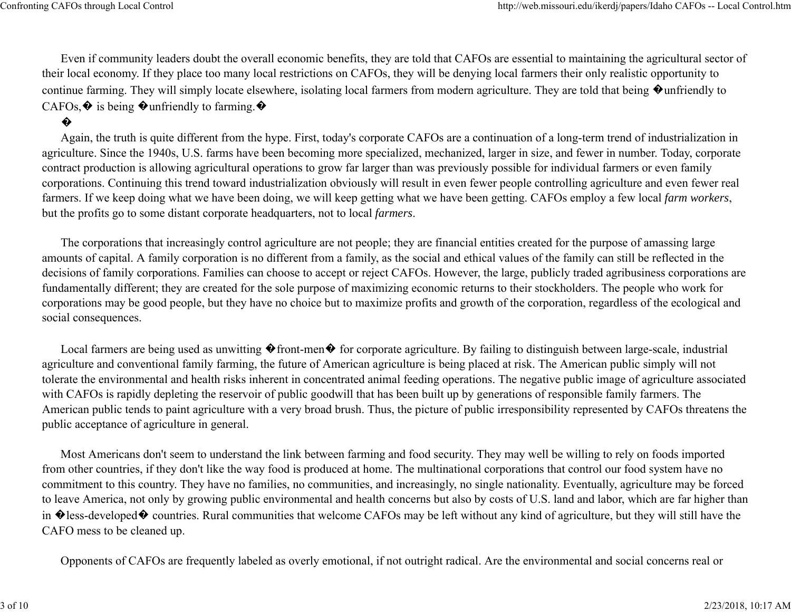Even if community leaders doubt the overall economic benefits, they are told that CAFOs are essential to maintaining the agricultural sector of their local economy. If they place too many local restrictions on CAFOs, they will be denying local farmers their only realistic opportunity to continue farming. They will simply locate elsewhere, isolating local farmers from modern agriculture. They are told that being  $\bigcirc$  unfriendly to CAFOs,  $\hat{\mathbf{\Phi}}$  is being  $\hat{\mathbf{\Phi}}$  unfriendly to farming.  $\hat{\mathbf{\Phi}}$ 

## �

Again, the truth is quite different from the hype. First, today's corporate CAFOs are a continuation of a long-term trend of industrialization in agriculture. Since the 1940s, U.S. farms have been becoming more specialized, mechanized, larger in size, and fewer in number. Today, corporate contract production is allowing agricultural operations to grow far larger than was previously possible for individual farmers or even family corporations. Continuing this trend toward industrialization obviously will result in even fewer people controlling agriculture and even fewer real farmers. If we keep doing what we have been doing, we will keep getting what we have been getting. CAFOs employ a few local *farm workers*, but the profits go to some distant corporate headquarters, not to local *farmers*.

The corporations that increasingly control agriculture are not people; they are financial entities created for the purpose of amassing large amounts of capital. A family corporation is no different from a family, as the social and ethical values of the family can still be reflected in the decisions of family corporations. Families can choose to accept or reject CAFOs. However, the large, publicly traded agribusiness corporations are fundamentally different; they are created for the sole purpose of maximizing economic returns to their stockholders. The people who work for corporations may be good people, but they have no choice but to maximize profits and growth of the corporation, regardless of the ecological and social consequences.

Local farmers are being used as unwitting  $\bullet$  front-men $\bullet$  for corporate agriculture. By failing to distinguish between large-scale, industrial agriculture and conventional family farming, the future of American agriculture is being placed at risk. The American public simply will not tolerate the environmental and health risks inherent in concentrated animal feeding operations. The negative public image of agriculture associated with CAFOs is rapidly depleting the reservoir of public goodwill that has been built up by generations of responsible family farmers. The American public tends to paint agriculture with a very broad brush. Thus, the picture of public irresponsibility represented by CAFOs threatens the public acceptance of agriculture in general.

Most Americans don't seem to understand the link between farming and food security. They may well be willing to rely on foods imported from other countries, if they don't like the way food is produced at home. The multinational corporations that control our food system have no commitment to this country. They have no families, no communities, and increasingly, no single nationality. Eventually, agriculture may be forced to leave America, not only by growing public environmental and health concerns but also by costs of U.S. land and labor, which are far higher than in  $\lozenge$  less-developed  $\lozenge$  countries. Rural communities that welcome CAFOs may be left without any kind of agriculture, but they will still have the CAFO mess to be cleaned up.

Opponents of CAFOs are frequently labeled as overly emotional, if not outright radical. Are the environmental and social concerns real or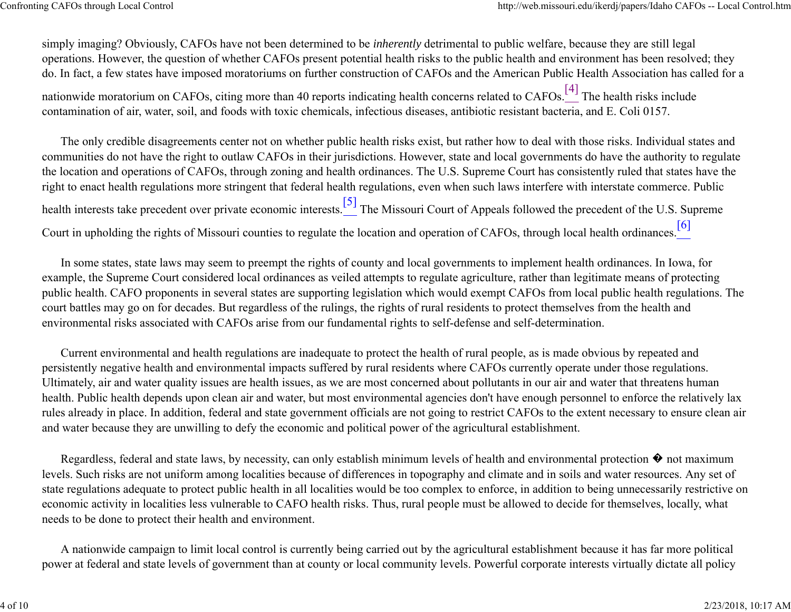simply imaging? Obviously, CAFOs have not been determined to be *inherently* detrimental to public welfare, because they are still legal operations. However, the question of whether CAFOs present potential health risks to the public health and environment has been resolved; they do. In fact, a few states have imposed moratoriums on further construction of CAFOs and the American Public Health Association has called for a

nationwide moratorium on CAFOs, citing more than 40 reports indicating health concerns related to CAFOs.<sup>[4]</sup> The health risks include contamination of air, water, soil, and foods with toxic chemicals, infectious diseases, antibiotic resistant bacteria, and E. Coli 0157.

The only credible disagreements center not on whether public health risks exist, but rather how to deal with those risks. Individual states and communities do not have the right to outlaw CAFOs in their jurisdictions. However, state and local governments do have the authority to regulate the location and operations of CAFOs, through zoning and health ordinances. The U.S. Supreme Court has consistently ruled that states have the right to enact health regulations more stringent that federal health regulations, even when such laws interfere with interstate commerce. Public health interests take precedent over private economic interests.<sup>[5]</sup> The Missouri Court of Appeals followed the precedent of the U.S. Supreme Court in upholding the rights of Missouri counties to regulate the location and operation of CAFOs, through local health ordinances.<sup>[6]</sup>

In some states, state laws may seem to preempt the rights of county and local governments to implement health ordinances. In Iowa, for example, the Supreme Court considered local ordinances as veiled attempts to regulate agriculture, rather than legitimate means of protecting public health. CAFO proponents in several states are supporting legislation which would exempt CAFOs from local public health regulations. The court battles may go on for decades. But regardless of the rulings, the rights of rural residents to protect themselves from the health and environmental risks associated with CAFOs arise from our fundamental rights to self-defense and self-determination.

Current environmental and health regulations are inadequate to protect the health of rural people, as is made obvious by repeated and persistently negative health and environmental impacts suffered by rural residents where CAFOs currently operate under those regulations. Ultimately, air and water quality issues are health issues, as we are most concerned about pollutants in our air and water that threatens human health. Public health depends upon clean air and water, but most environmental agencies don't have enough personnel to enforce the relatively lax rules already in place. In addition, federal and state government officials are not going to restrict CAFOs to the extent necessary to ensure clean air and water because they are unwilling to defy the economic and political power of the agricultural establishment.

Regardless, federal and state laws, by necessity, can only establish minimum levels of health and environmental protection � not maximum levels. Such risks are not uniform among localities because of differences in topography and climate and in soils and water resources. Any set of state regulations adequate to protect public health in all localities would be too complex to enforce, in addition to being unnecessarily restrictive on economic activity in localities less vulnerable to CAFO health risks. Thus, rural people must be allowed to decide for themselves, locally, what needs to be done to protect their health and environment.

A nationwide campaign to limit local control is currently being carried out by the agricultural establishment because it has far more political power at federal and state levels of government than at county or local community levels. Powerful corporate interests virtually dictate all policy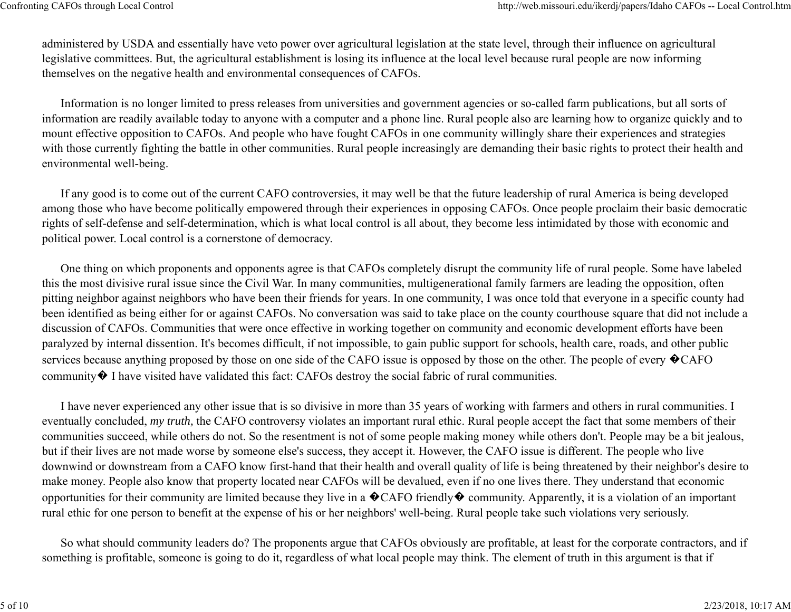administered by USDA and essentially have veto power over agricultural legislation at the state level, through their influence on agricultural legislative committees. But, the agricultural establishment is losing its influence at the local level because rural people are now informing themselves on the negative health and environmental consequences of CAFOs.

Information is no longer limited to press releases from universities and government agencies or so-called farm publications, but all sorts of information are readily available today to anyone with a computer and a phone line. Rural people also are learning how to organize quickly and to mount effective opposition to CAFOs. And people who have fought CAFOs in one community willingly share their experiences and strategies with those currently fighting the battle in other communities. Rural people increasingly are demanding their basic rights to protect their health and environmental well-being.

If any good is to come out of the current CAFO controversies, it may well be that the future leadership of rural America is being developed among those who have become politically empowered through their experiences in opposing CAFOs. Once people proclaim their basic democratic rights of self-defense and self-determination, which is what local control is all about, they become less intimidated by those with economic and political power. Local control is a cornerstone of democracy.

One thing on which proponents and opponents agree is that CAFOs completely disrupt the community life of rural people. Some have labeled this the most divisive rural issue since the Civil War. In many communities, multigenerational family farmers are leading the opposition, often pitting neighbor against neighbors who have been their friends for years. In one community, I was once told that everyone in a specific county had been identified as being either for or against CAFOs. No conversation was said to take place on the county courthouse square that did not include a discussion of CAFOs. Communities that were once effective in working together on community and economic development efforts have been paralyzed by internal dissention. It's becomes difficult, if not impossible, to gain public support for schools, health care, roads, and other public services because anything proposed by those on one side of the CAFO issue is opposed by those on the other. The people of every  $\bigotimes$ CAFO community� I have visited have validated this fact: CAFOs destroy the social fabric of rural communities.

I have never experienced any other issue that is so divisive in more than 35 years of working with farmers and others in rural communities. I eventually concluded, *my truth,* the CAFO controversy violates an important rural ethic. Rural people accept the fact that some members of their communities succeed, while others do not. So the resentment is not of some people making money while others don't. People may be a bit jealous, but if their lives are not made worse by someone else's success, they accept it. However, the CAFO issue is different. The people who live downwind or downstream from a CAFO know first-hand that their health and overall quality of life is being threatened by their neighbor's desire to make money. People also know that property located near CAFOs will be devalued, even if no one lives there. They understand that economic opportunities for their community are limited because they live in a  $\bigcirc$  CAFO friendly  $\bigcirc$  community. Apparently, it is a violation of an important rural ethic for one person to benefit at the expense of his or her neighbors' well-being. Rural people take such violations very seriously.

So what should community leaders do? The proponents argue that CAFOs obviously are profitable, at least for the corporate contractors, and if something is profitable, someone is going to do it, regardless of what local people may think. The element of truth in this argument is that if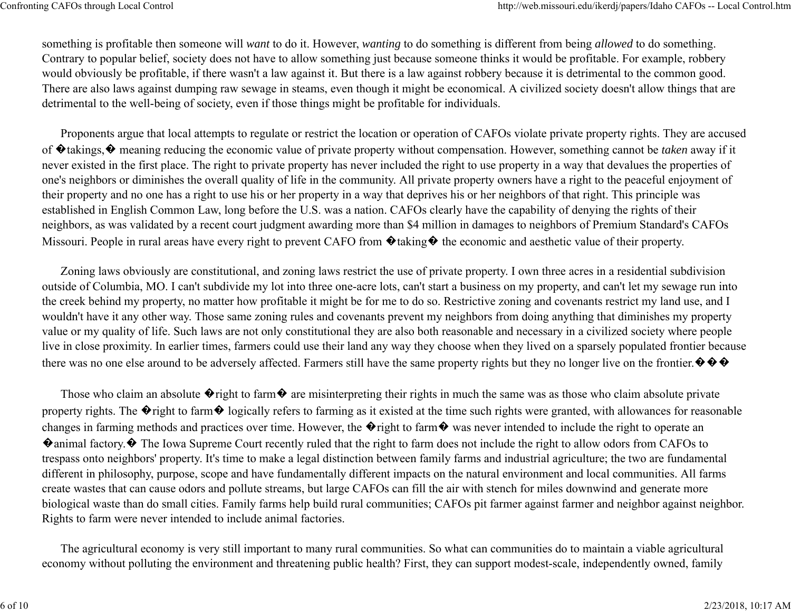something is profitable then someone will *want* to do it. However, *wanting* to do something is different from being *allowed* to do something. Contrary to popular belief, society does not have to allow something just because someone thinks it would be profitable. For example, robbery would obviously be profitable, if there wasn't a law against it. But there is a law against robbery because it is detrimental to the common good. There are also laws against dumping raw sewage in steams, even though it might be economical. A civilized society doesn't allow things that are detrimental to the well-being of society, even if those things might be profitable for individuals.

Proponents argue that local attempts to regulate or restrict the location or operation of CAFOs violate private property rights. They are accused of �takings,� meaning reducing the economic value of private property without compensation. However, something cannot be *taken* away if it never existed in the first place. The right to private property has never included the right to use property in a way that devalues the properties of one's neighbors or diminishes the overall quality of life in the community. All private property owners have a right to the peaceful enjoyment of their property and no one has a right to use his or her property in a way that deprives his or her neighbors of that right. This principle was established in English Common Law, long before the U.S. was a nation. CAFOs clearly have the capability of denying the rights of their neighbors, as was validated by a recent court judgment awarding more than \$4 million in damages to neighbors of Premium Standard's CAFOs Missouri. People in rural areas have every right to prevent CAFO from  $\bullet$  taking  $\bullet$  the economic and aesthetic value of their property.

Zoning laws obviously are constitutional, and zoning laws restrict the use of private property. I own three acres in a residential subdivision outside of Columbia, MO. I can't subdivide my lot into three one-acre lots, can't start a business on my property, and can't let my sewage run into the creek behind my property, no matter how profitable it might be for me to do so. Restrictive zoning and covenants restrict my land use, and I wouldn't have it any other way. Those same zoning rules and covenants prevent my neighbors from doing anything that diminishes my property value or my quality of life. Such laws are not only constitutional they are also both reasonable and necessary in a civilized society where people live in close proximity. In earlier times, farmers could use their land any way they choose when they lived on a sparsely populated frontier because there was no one else around to be adversely affected. Farmers still have the same property rights but they no longer live on the frontier.  $\Diamond \Diamond \Diamond$ 

Those who claim an absolute  $\lozenge$  right to farm  $\lozenge$  are misinterpreting their rights in much the same was as those who claim absolute private property rights. The  $\lozenge$  right to farm  $\lozenge$  logically refers to farming as it existed at the time such rights were granted, with allowances for reasonable changes in farming methods and practices over time. However, the  $\hat{\mathbf{v}}$  right to farm  $\hat{\mathbf{v}}$  was never intended to include the right to operate an �animal factory.� The Iowa Supreme Court recently ruled that the right to farm does not include the right to allow odors from CAFOs to trespass onto neighbors' property. It's time to make a legal distinction between family farms and industrial agriculture; the two are fundamental different in philosophy, purpose, scope and have fundamentally different impacts on the natural environment and local communities. All farms create wastes that can cause odors and pollute streams, but large CAFOs can fill the air with stench for miles downwind and generate more biological waste than do small cities. Family farms help build rural communities; CAFOs pit farmer against farmer and neighbor against neighbor. Rights to farm were never intended to include animal factories.

The agricultural economy is very still important to many rural communities. So what can communities do to maintain a viable agricultural economy without polluting the environment and threatening public health? First, they can support modest-scale, independently owned, family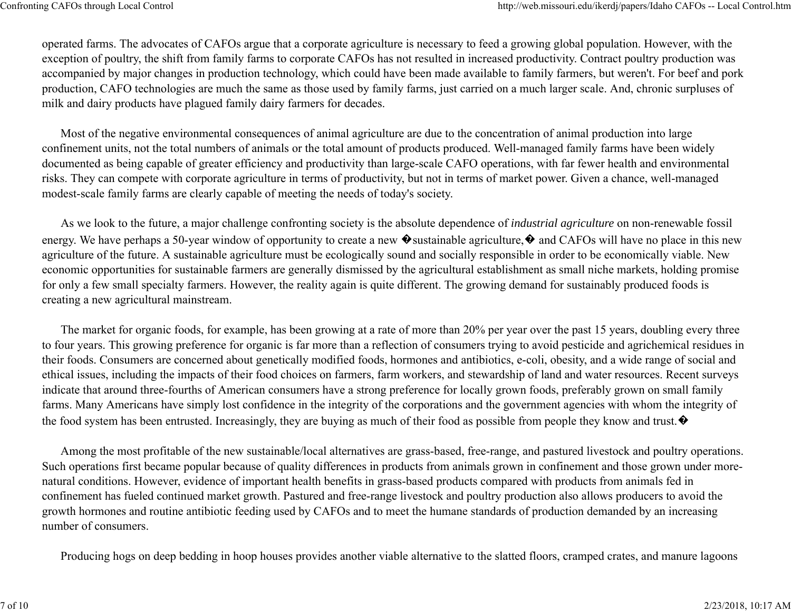operated farms. The advocates of CAFOs argue that a corporate agriculture is necessary to feed a growing global population. However, with the exception of poultry, the shift from family farms to corporate CAFOs has not resulted in increased productivity. Contract poultry production was accompanied by major changes in production technology, which could have been made available to family farmers, but weren't. For beef and pork production, CAFO technologies are much the same as those used by family farms, just carried on a much larger scale. And, chronic surpluses of milk and dairy products have plagued family dairy farmers for decades.

Most of the negative environmental consequences of animal agriculture are due to the concentration of animal production into large confinement units, not the total numbers of animals or the total amount of products produced. Well-managed family farms have been widely documented as being capable of greater efficiency and productivity than large-scale CAFO operations, with far fewer health and environmental risks. They can compete with corporate agriculture in terms of productivity, but not in terms of market power. Given a chance, well-managed modest-scale family farms are clearly capable of meeting the needs of today's society.

As we look to the future, a major challenge confronting society is the absolute dependence of *industrial agriculture* on non-renewable fossil energy. We have perhaps a 50-year window of opportunity to create a new  $\bullet$  sustainable agriculture,  $\bullet$  and CAFOs will have no place in this new agriculture of the future. A sustainable agriculture must be ecologically sound and socially responsible in order to be economically viable. New economic opportunities for sustainable farmers are generally dismissed by the agricultural establishment as small niche markets, holding promise for only a few small specialty farmers. However, the reality again is quite different. The growing demand for sustainably produced foods is creating a new agricultural mainstream.

The market for organic foods, for example, has been growing at a rate of more than 20% per year over the past 15 years, doubling every three to four years. This growing preference for organic is far more than a reflection of consumers trying to avoid pesticide and agrichemical residues in their foods. Consumers are concerned about genetically modified foods, hormones and antibiotics, e-coli, obesity, and a wide range of social and ethical issues, including the impacts of their food choices on farmers, farm workers, and stewardship of land and water resources. Recent surveys indicate that around three-fourths of American consumers have a strong preference for locally grown foods, preferably grown on small family farms. Many Americans have simply lost confidence in the integrity of the corporations and the government agencies with whom the integrity of the food system has been entrusted. Increasingly, they are buying as much of their food as possible from people they know and trust.  $\bullet$ 

Among the most profitable of the new sustainable/local alternatives are grass-based, free-range, and pastured livestock and poultry operations. Such operations first became popular because of quality differences in products from animals grown in confinement and those grown under morenatural conditions. However, evidence of important health benefits in grass-based products compared with products from animals fed in confinement has fueled continued market growth. Pastured and free-range livestock and poultry production also allows producers to avoid the growth hormones and routine antibiotic feeding used by CAFOs and to meet the humane standards of production demanded by an increasing number of consumers.

Producing hogs on deep bedding in hoop houses provides another viable alternative to the slatted floors, cramped crates, and manure lagoons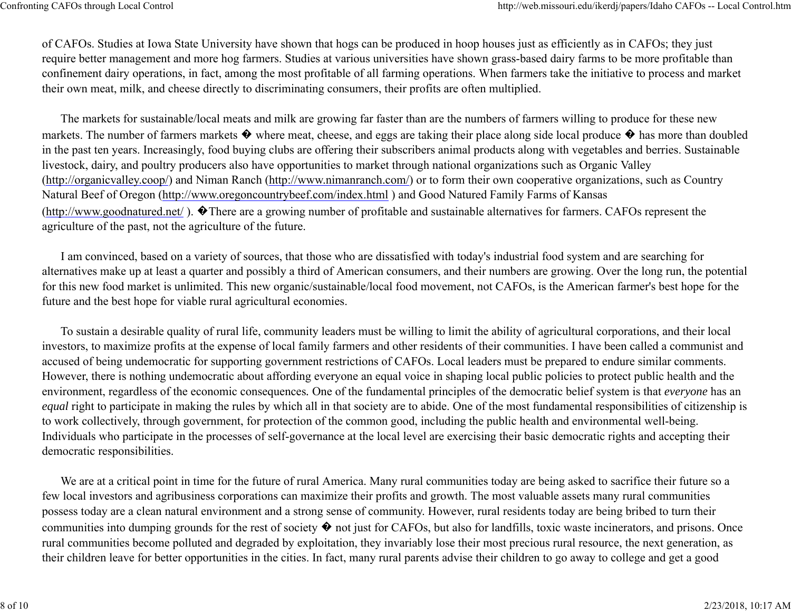of CAFOs. Studies at Iowa State University have shown that hogs can be produced in hoop houses just as efficiently as in CAFOs; they just require better management and more hog farmers. Studies at various universities have shown grass-based dairy farms to be more profitable than confinement dairy operations, in fact, among the most profitable of all farming operations. When farmers take the initiative to process and market their own meat, milk, and cheese directly to discriminating consumers, their profits are often multiplied.

The markets for sustainable/local meats and milk are growing far faster than are the numbers of farmers willing to produce for these new markets. The number of farmers markets  $\bullet$  where meat, cheese, and eggs are taking their place along side local produce  $\bullet$  has more than doubled in the past ten years. Increasingly, food buying clubs are offering their subscribers animal products along with vegetables and berries. Sustainable livestock, dairy, and poultry producers also have opportunities to market through national organizations such as Organic Valley (http://organicvalley.coop/) and Niman Ranch (http://www.nimanranch.com/) or to form their own cooperative organizations, such as Country Natural Beef of Oregon (http://www.oregoncountrybeef.com/index.html ) and Good Natured Family Farms of Kansas (http://www.goodnatured.net/ ). �There are a growing number of profitable and sustainable alternatives for farmers. CAFOs represent the agriculture of the past, not the agriculture of the future.

I am convinced, based on a variety of sources, that those who are dissatisfied with today's industrial food system and are searching for alternatives make up at least a quarter and possibly a third of American consumers, and their numbers are growing. Over the long run, the potential for this new food market is unlimited. This new organic/sustainable/local food movement, not CAFOs, is the American farmer's best hope for the future and the best hope for viable rural agricultural economies.

To sustain a desirable quality of rural life, community leaders must be willing to limit the ability of agricultural corporations, and their local investors, to maximize profits at the expense of local family farmers and other residents of their communities. I have been called a communist and accused of being undemocratic for supporting government restrictions of CAFOs. Local leaders must be prepared to endure similar comments. However, there is nothing undemocratic about affording everyone an equal voice in shaping local public policies to protect public health and the environment, regardless of the economic consequences*.* One of the fundamental principles of the democratic belief system is that *everyone* has an *equal* right to participate in making the rules by which all in that society are to abide. One of the most fundamental responsibilities of citizenship is to work collectively, through government, for protection of the common good, including the public health and environmental well-being. Individuals who participate in the processes of self-governance at the local level are exercising their basic democratic rights and accepting their democratic responsibilities.

We are at a critical point in time for the future of rural America. Many rural communities today are being asked to sacrifice their future so a few local investors and agribusiness corporations can maximize their profits and growth. The most valuable assets many rural communities possess today are a clean natural environment and a strong sense of community. However, rural residents today are being bribed to turn their communities into dumping grounds for the rest of society  $\bullet$  not just for CAFOs, but also for landfills, toxic waste incinerators, and prisons. Once rural communities become polluted and degraded by exploitation, they invariably lose their most precious rural resource, the next generation, as their children leave for better opportunities in the cities. In fact, many rural parents advise their children to go away to college and get a good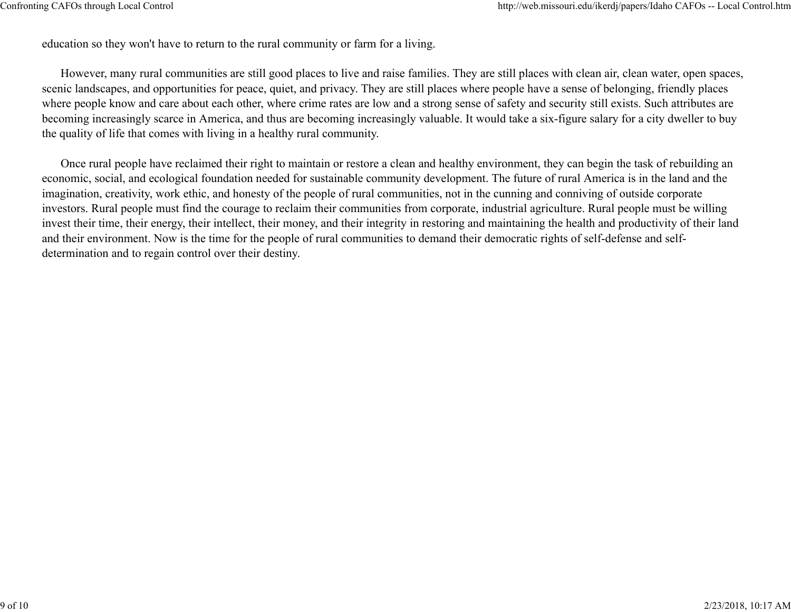education so they won't have to return to the rural community or farm for a living.

However, many rural communities are still good places to live and raise families. They are still places with clean air, clean water, open spaces, scenic landscapes, and opportunities for peace, quiet, and privacy. They are still places where people have a sense of belonging, friendly places where people know and care about each other, where crime rates are low and a strong sense of safety and security still exists. Such attributes are becoming increasingly scarce in America, and thus are becoming increasingly valuable. It would take a six-figure salary for a city dweller to buy the quality of life that comes with living in a healthy rural community.

Once rural people have reclaimed their right to maintain or restore a clean and healthy environment, they can begin the task of rebuilding an economic, social, and ecological foundation needed for sustainable community development. The future of rural America is in the land and the imagination, creativity, work ethic, and honesty of the people of rural communities, not in the cunning and conniving of outside corporate investors. Rural people must find the courage to reclaim their communities from corporate, industrial agriculture. Rural people must be willing invest their time, their energy, their intellect, their money, and their integrity in restoring and maintaining the health and productivity of their land and their environment. Now is the time for the people of rural communities to demand their democratic rights of self-defense and selfdetermination and to regain control over their destiny.